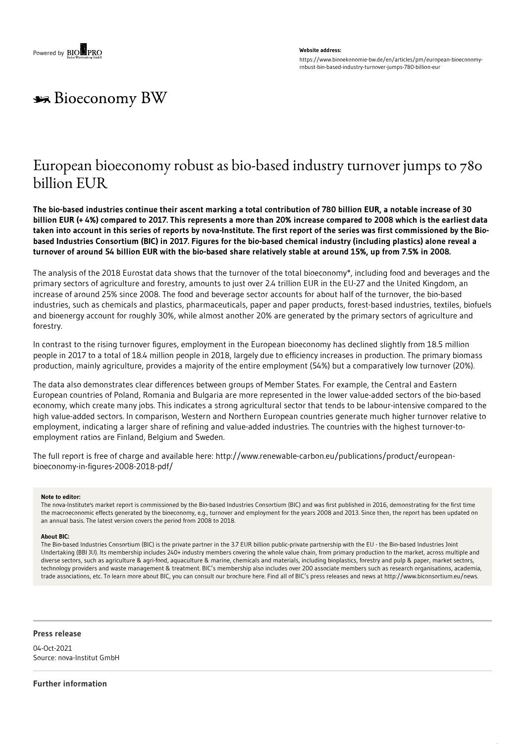#### **Website address:**

https://www.biooekonomie-bw.de/en/articles/pm/european-bioeconomyrobust-bio-based-industry-turnover-jumps-780-billion-eur

# **Bioeconomy BW**

## European bioeconomy robust as bio-based industry turnover jumps to 780 billion EUR

The bio-based industries continue their ascent marking a total contribution of 780 billion EUR, a notable increase of 30 billion EUR (+4%) compared to 2017. This represents a more than 20% increase compared to 2008 which is the earliest data taken into account in this series of reports by nova-Institute. The first report of the series was first commissioned by the Biobased Industries Consortium (BIC) in 2017. Figures for the bio-based chemical industry (including plastics) alone reveal a turnover of around 54 billion EUR with the bio-based share relatively stable at around 15%, up from 7.5% in 2008.

The analysis of the 2018 Eurostat data shows that the turnover of the total bioeconomy\*, including food and beverages and the primary sectors of agriculture and forestry, amounts to just over 2.4 trillion EUR in the EU-27 and the United Kingdom, an increase of around 25% since 2008. The food and beverage sector accounts for about half of the turnover, the bio-based industries, such as chemicals and plastics, pharmaceuticals, paper and paper products, forest-based industries, textiles, biofuels and bioenergy account for roughly 30%, while almost another 20% are generated by the primary sectors of agriculture and forestry.

In contrast to the rising turnover figures, employment in the European bioeconomy has declined slightly from 18.5 million people in 2017 to a total of 18.4 million people in 2018, largely due to efficiency increases in production. The primary biomass production, mainly agriculture, provides a majority of the entire employment (54%) but a comparatively low turnover (20%).

The data also demonstrates clear differences between groups of Member States. For example, the Central and Eastern European countries of Poland, Romania and Bulgaria are more represented in the lower value-added sectors of the bio-based economy, which create many jobs. This indicates a strong agricultural sector that tends to be labour-intensive compared to the high value-added sectors. In comparison, Western and Northern European countries generate much higher turnover relative to employment, indicating a larger share of refining and value-added industries. The countries with the highest turnover-toemployment ratios are Finland, Belgium and Sweden.

The full report is free of charge and available here: http://www.renewable-carbon.eu/publications/product/europeanbioeconomy-in-figures-2008-2018-pdf/

#### **Note to editor:**

The nova-Institute's market report is commissioned by the Bio-based Industries Consortium (BIC) and was first published in 2016, demonstrating for the first time the macroeconomic effects generated by the bioeconomy, e.g., turnover and employment for the years 2008 and 2013. Since then, the report has been updated on an annual basis. The latest version covers the period from 2008 to 2018.

#### **About BIC:**

The Bio-based Industries Consortium (BIC) is the private partner in the 3.7 EUR billion public-private partnership with the EU - the Bio-based Industries Joint Undertaking (BBI JU). Its membership includes 240+ industry members covering the whole value chain, from primary production to the market, across multiple and diverse sectors, such as agriculture & agri-food, aquaculture & marine, chemicals and materials, including bioplastics, forestry and pulp & paper, market sectors, technology providers and waste management & treatment. BIC's membership also includes over 200 associate members such as research organisations, academia, trade associations, etc. To learn more about BIC, you can consult our brochure here. Find all of BIC's press releases and news at http://www.biconsortium.eu/news.

### **Press release**

04-Oct-2021 Source: nova-Institut GmbH

**Further information**